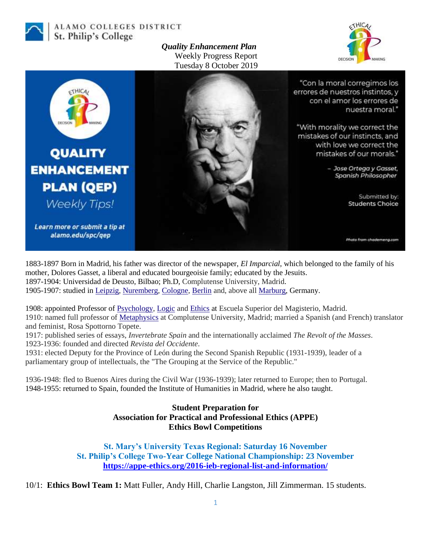

ALAMO COLLEGES DISTRICT St. Philip's College

> *Quality Enhancement Plan* Weekly Progress Report Tuesday 8 October 2019





1883-1897 Born in Madrid, his father was director of the newspaper, *El Imparcial*, which belonged to the family of his mother, Dolores Gasset, a liberal and educated bourgeoisie family; educated by the Jesuits. 1897-1904: Universidad de Deusto, Bilbao; Ph.D, Complutense University, Madrid. 1905-1907: studied in [Leipzig,](https://en.wikipedia.org/wiki/Leipzig) [Nuremberg,](https://en.wikipedia.org/wiki/Nuremberg) [Cologne,](https://en.wikipedia.org/wiki/Cologne) [Berlin](https://en.wikipedia.org/wiki/Berlin) and, above all [Marburg,](https://en.wikipedia.org/wiki/Marburg) Germany.

1908: appointed Professor of [Psychology,](https://en.wikipedia.org/wiki/Psychology) [Logic](https://en.wikipedia.org/wiki/Logic) and [Ethics](https://en.wikipedia.org/wiki/Ethics) at Escuela Superior del Magisterio, Madrid. 1910: named full professor of [Metaphysics](https://en.wikipedia.org/wiki/Metaphysics) at Complutense University, Madrid; married a Spanish (and French) translator and feminist, Rosa Spottorno Topete.

1917: published series of essays, *Invertebrate Spain* and the internationally acclaimed *The Revolt of the Masses*. 1923-1936: founded and directed *Revista del Occidente*.

1931: elected Deputy for the Province of León during the Second Spanish Republic (1931-1939), leader of a parliamentary group of intellectuals, the "The Grouping at the Service of the Republic."

1936-1948: fled to Buenos Aires during the Civil War (1936-1939); later returned to Europe; then to Portugal. 1948-1955: returned to Spain, founded the Institute of Humanities in Madrid, where he also taught.

> **Student Preparation for Association for Practical and Professional Ethics (APPE) Ethics Bowl Competitions**

**St. Mary's University Texas Regional: Saturday 16 November St. Philip's College Two-Year College National Championship: 23 November <https://appe-ethics.org/2016-ieb-regional-list-and-information/>**

10/1: **Ethics Bowl Team 1:** Matt Fuller, Andy Hill, Charlie Langston, Jill Zimmerman. 15 students.